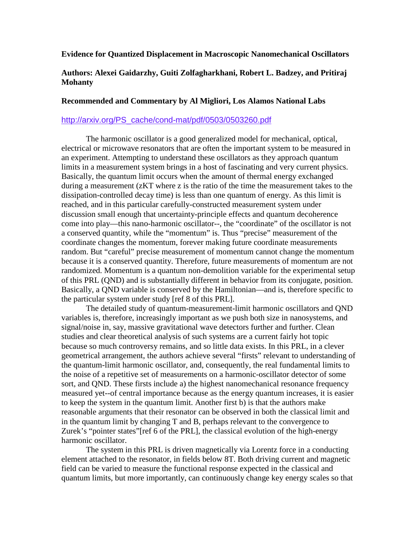## **Evidence for Quantized Displacement in Macroscopic Nanomechanical Oscillators**

## **Authors: Alexei Gaidarzhy, Guiti Zolfagharkhani, Robert L. Badzey, and Pritiraj Mohanty**

## **Recommended and Commentary by Al Migliori, Los Alamos National Labs**

## http://arxiv.org/PS\_cache/cond-mat/pdf/0503/0503260.pdf

The harmonic oscillator is a good generalized model for mechanical, optical, electrical or microwave resonators that are often the important system to be measured in an experiment. Attempting to understand these oscillators as they approach quantum limits in a measurement system brings in a host of fascinating and very current physics. Basically, the quantum limit occurs when the amount of thermal energy exchanged during a measurement (zKT where z is the ratio of the time the measurement takes to the dissipation-controlled decay time) is less than one quantum of energy. As this limit is reached, and in this particular carefully-constructed measurement system under discussion small enough that uncertainty-principle effects and quantum decoherence come into play—this nano-harmonic oscillator--, the "coordinate" of the oscillator is not a conserved quantity, while the "momentum" is. Thus "precise" measurement of the coordinate changes the momentum, forever making future coordinate measurements random. But "careful" precise measurement of momentum cannot change the momentum because it is a conserved quantity. Therefore, future measurements of momentum are not randomized. Momentum is a quantum non-demolition variable for the experimental setup of this PRL (QND) and is substantially different in behavior from its conjugate, position. Basically, a QND variable is conserved by the Hamiltonian—and is, therefore specific to the particular system under study [ref 8 of this PRL].

The detailed study of quantum-measurement-limit harmonic oscillators and QND variables is, therefore, increasingly important as we push both size in nanosystems, and signal/noise in, say, massive gravitational wave detectors further and further. Clean studies and clear theoretical analysis of such systems are a current fairly hot topic because so much controversy remains, and so little data exists. In this PRL, in a clever geometrical arrangement, the authors achieve several "firsts" relevant to understanding of the quantum-limit harmonic oscillator, and, consequently, the real fundamental limits to the noise of a repetitive set of measurements on a harmonic-oscillator detector of some sort, and QND. These firsts include a) the highest nanomechanical resonance frequency measured yet--of central importance because as the energy quantum increases, it is easier to keep the system in the quantum limit. Another first b) is that the authors make reasonable arguments that their resonator can be observed in both the classical limit and in the quantum limit by changing T and B, perhaps relevant to the convergence to Zurek's "pointer states"[ref 6 of the PRL], the classical evolution of the high-energy harmonic oscillator.

The system in this PRL is driven magnetically via Lorentz force in a conducting element attached to the resonator, in fields below 8T. Both driving current and magnetic field can be varied to measure the functional response expected in the classical and quantum limits, but more importantly, can continuously change key energy scales so that